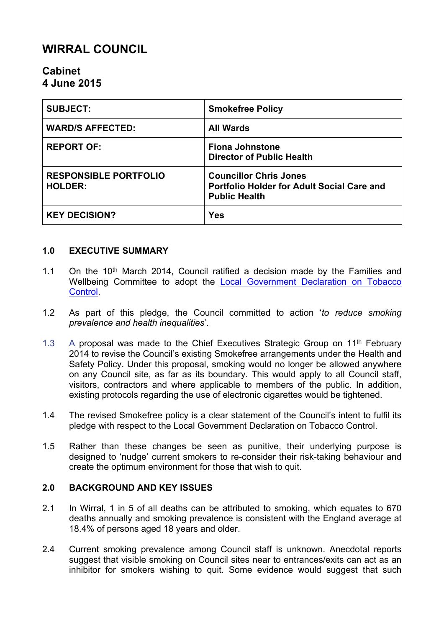# **WIRRAL COUNCIL**

# **Cabinet 4 June 2015**

| <b>SUBJECT:</b>                                | <b>Smokefree Policy</b>                                                                             |
|------------------------------------------------|-----------------------------------------------------------------------------------------------------|
| <b>WARD/S AFFECTED:</b>                        | <b>All Wards</b>                                                                                    |
| <b>REPORT OF:</b>                              | <b>Fiona Johnstone</b><br><b>Director of Public Health</b>                                          |
| <b>RESPONSIBLE PORTFOLIO</b><br><b>HOLDER:</b> | <b>Councillor Chris Jones</b><br>Portfolio Holder for Adult Social Care and<br><b>Public Health</b> |
| <b>KEY DECISION?</b>                           | <b>Yes</b>                                                                                          |

# **1.0 EXECUTIVE SUMMARY**

- 1.1 On the  $10<sup>th</sup>$  March 2014, Council ratified a decision made by the Families and Wellbeing Committee to adopt the Local [Government](http://www.smokefreeaction.org.uk/declaration/files/Declaration.pdf) [Declaration](http://www.smokefreeaction.org.uk/declaration/files/Declaration.pdf) on Tobacco [Control](http://www.smokefreeaction.org.uk/declaration/files/Declaration.pdf).
- 1.2 As part of this pledge, the Council committed to action '*to reduce smoking prevalence and health inequalities*'.
- 1.3 A proposal was made to the Chief Executives Strategic Group on  $11<sup>th</sup>$  February 2014 to revise the Council's existing Smokefree arrangements under the Health and Safety Policy. Under this proposal, smoking would no longer be allowed anywhere on any Council site, as far as its boundary. This would apply to all Council staff, visitors, contractors and where applicable to members of the public. In addition, existing protocols regarding the use of electronic cigarettes would be tightened.
- 1.4 The revised Smokefree policy is a clear statement of the Council's intent to fulfil its pledge with respect to the Local Government Declaration on Tobacco Control.
- 1.5 Rather than these changes be seen as punitive, their underlying purpose is designed to 'nudge' current smokers to re-consider their risk-taking behaviour and create the optimum environment for those that wish to quit.

### **2.0 BACKGROUND AND KEY ISSUES**

- 2.1 In Wirral, 1 in 5 of all deaths can be attributed to smoking, which equates to 670 deaths annually and smoking prevalence is consistent with the England average at 18.4% of persons aged 18 years and older.
- 2.4 Current smoking prevalence among Council staff is unknown. Anecdotal reports suggest that visible smoking on Council sites near to entrances/exits can act as an inhibitor for smokers wishing to quit. Some evidence would suggest that such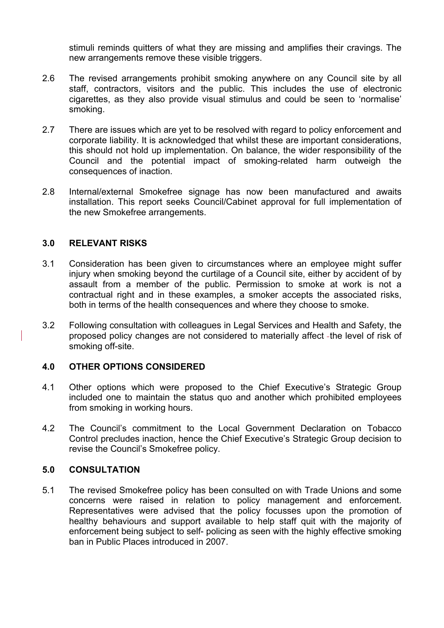stimuli reminds quitters of what they are missing and amplifies their cravings. The new arrangements remove these visible triggers.

- 2.6 The revised arrangements prohibit smoking anywhere on any Council site by all staff, contractors, visitors and the public. This includes the use of electronic cigarettes, as they also provide visual stimulus and could be seen to 'normalise' smoking.
- 2.7 There are issues which are yet to be resolved with regard to policy enforcement and corporate liability. It is acknowledged that whilst these are important considerations, this should not hold up implementation. On balance, the wider responsibility of the Council and the potential impact of smoking-related harm outweigh the consequences of inaction.
- 2.8 Internal/external Smokefree signage has now been manufactured and awaits installation. This report seeks Council/Cabinet approval for full implementation of the new Smokefree arrangements.

### **3.0 RELEVANT RISKS**

- 3.1 Consideration has been given to circumstances where an employee might suffer injury when smoking beyond the curtilage of a Council site, either by accident of by assault from a member of the public. Permission to smoke at work is not a contractual right and in these examples, a smoker accepts the associated risks, both in terms of the health consequences and where they choose to smoke.
- 3.2 Following consultation with colleagues in Legal Services and Health and Safety, the proposed policy changes are not considered to materially affect -the level of risk of smoking off-site.

### **4.0 OTHER OPTIONS CONSIDERED**

- 4.1 Other options which were proposed to the Chief Executive's Strategic Group included one to maintain the status quo and another which prohibited employees from smoking in working hours.
- 4.2 The Council's commitment to the Local Government Declaration on Tobacco Control precludes inaction, hence the Chief Executive's Strategic Group decision to revise the Council's Smokefree policy.

### **5.0 CONSULTATION**

5.1 The revised Smokefree policy has been consulted on with Trade Unions and some concerns were raised in relation to policy management and enforcement. Representatives were advised that the policy focusses upon the promotion of healthy behaviours and support available to help staff quit with the majority of enforcement being subject to self- policing as seen with the highly effective smoking ban in Public Places introduced in 2007.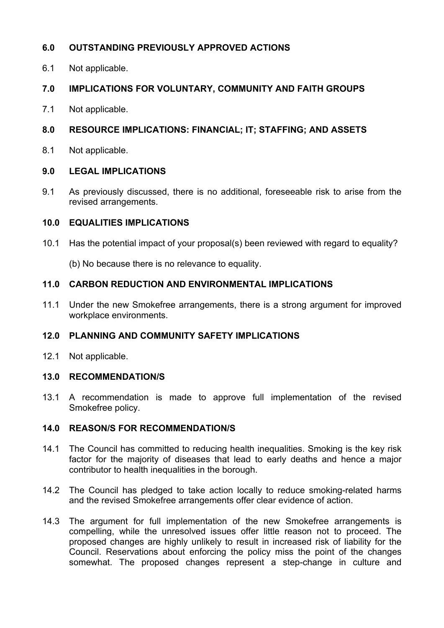# **6.0 OUTSTANDING PREVIOUSLY APPROVED ACTIONS**

6.1 Not applicable.

# **7.0 IMPLICATIONS FOR VOLUNTARY, COMMUNITY AND FAITH GROUPS**

7.1 Not applicable.

# **8.0 RESOURCE IMPLICATIONS: FINANCIAL; IT; STAFFING; AND ASSETS**

8.1 Not applicable.

# **9.0 LEGAL IMPLICATIONS**

9.1 As previously discussed, there is no additional, foreseeable risk to arise from the revised arrangements.

# **10.0 EQUALITIES IMPLICATIONS**

10.1 Has the potential impact of your proposal(s) been reviewed with regard to equality?

(b) No because there is no relevance to equality.

# **11.0 CARBON REDUCTION AND ENVIRONMENTAL IMPLICATIONS**

11.1 Under the new Smokefree arrangements, there is a strong argument for improved workplace environments.

# **12.0 PLANNING AND COMMUNITY SAFETY IMPLICATIONS**

12.1 Not applicable.

# **13.0 RECOMMENDATION/S**

13.1 A recommendation is made to approve full implementation of the revised Smokefree policy.

# **14.0 REASON/S FOR RECOMMENDATION/S**

- 14.1 The Council has committed to reducing health inequalities. Smoking is the key risk factor for the majority of diseases that lead to early deaths and hence a major contributor to health inequalities in the borough.
- 14.2 The Council has pledged to take action locally to reduce smoking-related harms and the revised Smokefree arrangements offer clear evidence of action.
- 14.3 The argument for full implementation of the new Smokefree arrangements is compelling, while the unresolved issues offer little reason not to proceed. The proposed changes are highly unlikely to result in increased risk of liability for the Council. Reservations about enforcing the policy miss the point of the changes somewhat. The proposed changes represent a step-change in culture and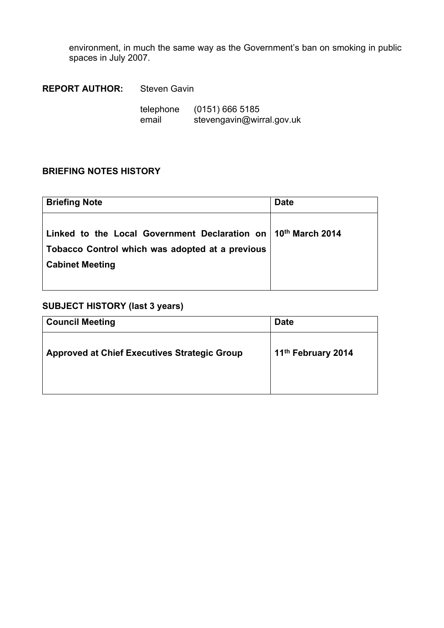environment, in much the same way as the Government's ban on smoking in public spaces in July 2007.

**REPORT AUTHOR:** Steven Gavin

| telephone | $(0151)$ 666 5185         |
|-----------|---------------------------|
| email     | stevengavin@wirral.gov.uk |

### **BRIEFING NOTES HISTORY**

| <b>Briefing Note</b>                                                                                                                         | <b>Date</b> |
|----------------------------------------------------------------------------------------------------------------------------------------------|-------------|
| Linked to the Local Government Declaration on $10th$ March 2014<br>Tobacco Control which was adopted at a previous<br><b>Cabinet Meeting</b> |             |

# **SUBJECT HISTORY (last 3 years)**

| <b>Council Meeting</b>                              | <b>Date</b>                    |
|-----------------------------------------------------|--------------------------------|
| <b>Approved at Chief Executives Strategic Group</b> | 11 <sup>th</sup> February 2014 |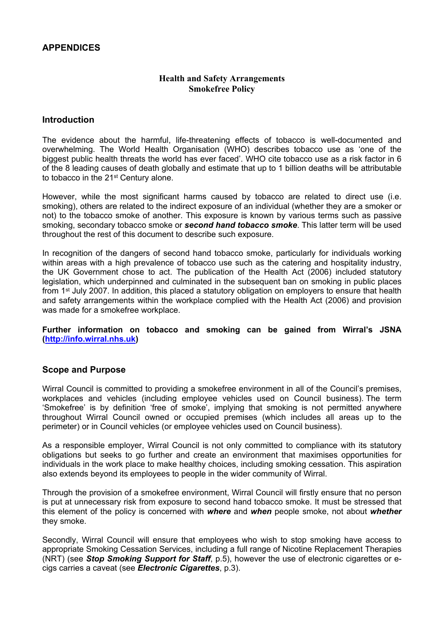### **APPENDICES**

#### **Health and Safety Arrangements Smokefree Policy**

#### **Introduction**

The evidence about the harmful, life-threatening effects of tobacco is well-documented and overwhelming. The World Health Organisation (WHO) describes tobacco use as 'one of the biggest public health threats the world has ever faced'. WHO cite tobacco use as a risk factor in 6 of the 8 leading causes of death globally and estimate that up to 1 billion deaths will be attributable to tobacco in the 21<sup>st</sup> Century alone.

However, while the most significant harms caused by tobacco are related to direct use (i.e. smoking), others are related to the indirect exposure of an individual (whether they are a smoker or not) to the tobacco smoke of another. This exposure is known by various terms such as passive smoking, secondary tobacco smoke or *second hand tobacco smoke*. This latter term will be used throughout the rest of this document to describe such exposure.

In recognition of the dangers of second hand tobacco smoke, particularly for individuals working within areas with a high prevalence of tobacco use such as the catering and hospitality industry, the UK Government chose to act. The publication of the Health Act (2006) included statutory legislation, which underpinned and culminated in the subsequent ban on smoking in public places from 1<sup>st</sup> July 2007. In addition, this placed a statutory obligation on employers to ensure that health and safety arrangements within the workplace complied with the Health Act (2006) and provision was made for a smokefree workplace.

**Further information on tobacco and smoking can be gained from Wirral's JSNA [\(http://info.wirral.nhs.uk\)](http://info.wirral.nhs.uk/)**

#### **Scope and Purpose**

Wirral Council is committed to providing a smokefree environment in all of the Council's premises, workplaces and vehicles (including employee vehicles used on Council business). The term 'Smokefree' is by definition 'free of smoke', implying that smoking is not permitted anywhere throughout Wirral Council owned or occupied premises (which includes all areas up to the perimeter) or in Council vehicles (or employee vehicles used on Council business).

As a responsible employer, Wirral Council is not only committed to compliance with its statutory obligations but seeks to go further and create an environment that maximises opportunities for individuals in the work place to make healthy choices, including smoking cessation. This aspiration also extends beyond its employees to people in the wider community of Wirral.

Through the provision of a smokefree environment, Wirral Council will firstly ensure that no person is put at unnecessary risk from exposure to second hand tobacco smoke. It must be stressed that this element of the policy is concerned with *where* and *when* people smoke, not about *whether* they smoke.

Secondly, Wirral Council will ensure that employees who wish to stop smoking have access to appropriate Smoking Cessation Services, including a full range of Nicotine Replacement Therapies (NRT) (see *Stop Smoking Support for Staff*, p.5), however the use of electronic cigarettes or ecigs carries a caveat (see *Electronic Cigarettes*, p.3).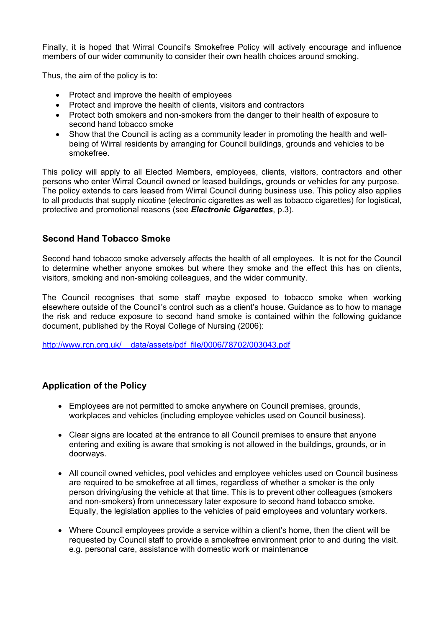Finally, it is hoped that Wirral Council's Smokefree Policy will actively encourage and influence members of our wider community to consider their own health choices around smoking.

Thus, the aim of the policy is to:

- Protect and improve the health of employees
- Protect and improve the health of clients, visitors and contractors
- Protect both smokers and non-smokers from the danger to their health of exposure to second hand tobacco smoke
- Show that the Council is acting as a community leader in promoting the health and wellbeing of Wirral residents by arranging for Council buildings, grounds and vehicles to be smokefree.

This policy will apply to all Elected Members, employees, clients, visitors, contractors and other persons who enter Wirral Council owned or leased buildings, grounds or vehicles for any purpose. The policy extends to cars leased from Wirral Council during business use. This policy also applies to all products that supply nicotine (electronic cigarettes as well as tobacco cigarettes) for logistical, protective and promotional reasons (see *Electronic Cigarettes*, p.3).

### **Second Hand Tobacco Smoke**

Second hand tobacco smoke adversely affects the health of all employees. It is not for the Council to determine whether anyone smokes but where they smoke and the effect this has on clients, visitors, smoking and non-smoking colleagues, and the wider community.

The Council recognises that some staff maybe exposed to tobacco smoke when working elsewhere outside of the Council's control such as a client's house. Guidance as to how to manage the risk and reduce exposure to second hand smoke is contained within the following guidance document, published by the Royal College of Nursing (2006):

[http://www.rcn.org.uk/\\_\\_data/assets/pdf\\_file/0006/78702/003043.pdf](http://www.rcn.org.uk/__data/assets/pdf_file/0006/78702/003043.pdf)

#### **Application of the Policy**

- Employees are not permitted to smoke anywhere on Council premises, grounds, workplaces and vehicles (including employee vehicles used on Council business).
- Clear signs are located at the entrance to all Council premises to ensure that anyone entering and exiting is aware that smoking is not allowed in the buildings, grounds, or in doorways.
- All council owned vehicles, pool vehicles and employee vehicles used on Council business are required to be smokefree at all times, regardless of whether a smoker is the only person driving/using the vehicle at that time. This is to prevent other colleagues (smokers and non-smokers) from unnecessary later exposure to second hand tobacco smoke. Equally, the legislation applies to the vehicles of paid employees and voluntary workers.
- Where Council employees provide a service within a client's home, then the client will be requested by Council staff to provide a smokefree environment prior to and during the visit. e.g. personal care, assistance with domestic work or maintenance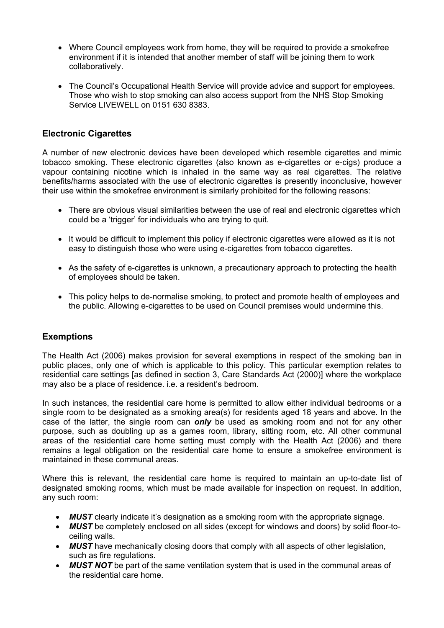- Where Council employees work from home, they will be required to provide a smokefree environment if it is intended that another member of staff will be joining them to work collaboratively.
- The Council's Occupational Health Service will provide advice and support for employees. Those who wish to stop smoking can also access support from the NHS Stop Smoking Service LIVEWELL on 0151 630 8383.

### **Electronic Cigarettes**

A number of new electronic devices have been developed which resemble cigarettes and mimic tobacco smoking. These electronic cigarettes (also known as e-cigarettes or e-cigs) produce a vapour containing nicotine which is inhaled in the same way as real cigarettes. The relative benefits/harms associated with the use of electronic cigarettes is presently inconclusive, however their use within the smokefree environment is similarly prohibited for the following reasons:

- There are obvious visual similarities between the use of real and electronic cigarettes which could be a 'trigger' for individuals who are trying to quit.
- It would be difficult to implement this policy if electronic cigarettes were allowed as it is not easy to distinguish those who were using e-cigarettes from tobacco cigarettes.
- As the safety of e-cigarettes is unknown, a precautionary approach to protecting the health of employees should be taken.
- This policy helps to de-normalise smoking, to protect and promote health of employees and the public. Allowing e-cigarettes to be used on Council premises would undermine this.

### **Exemptions**

The Health Act (2006) makes provision for several exemptions in respect of the smoking ban in public places, only one of which is applicable to this policy. This particular exemption relates to residential care settings [as defined in section 3, Care Standards Act (2000)] where the workplace may also be a place of residence. i.e. a resident's bedroom.

In such instances, the residential care home is permitted to allow either individual bedrooms or a single room to be designated as a smoking area(s) for residents aged 18 years and above. In the case of the latter, the single room can *only* be used as smoking room and not for any other purpose, such as doubling up as a games room, library, sitting room, etc. All other communal areas of the residential care home setting must comply with the Health Act (2006) and there remains a legal obligation on the residential care home to ensure a smokefree environment is maintained in these communal areas.

Where this is relevant, the residential care home is required to maintain an up-to-date list of designated smoking rooms, which must be made available for inspection on request. In addition, any such room:

- *MUST* clearly indicate it's designation as a smoking room with the appropriate signage.
- *MUST* be completely enclosed on all sides (except for windows and doors) by solid floor-toceiling walls.
- *MUST* have mechanically closing doors that comply with all aspects of other legislation, such as fire regulations.
- *MUST NOT* be part of the same ventilation system that is used in the communal areas of the residential care home.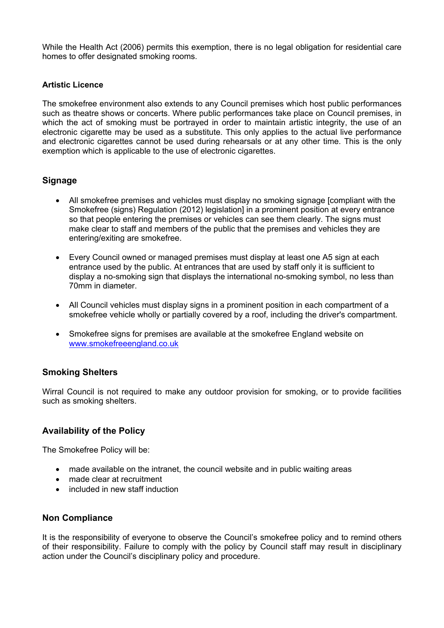While the Health Act (2006) permits this exemption, there is no legal obligation for residential care homes to offer designated smoking rooms.

#### **Artistic Licence**

The smokefree environment also extends to any Council premises which host public performances such as theatre shows or concerts. Where public performances take place on Council premises, in which the act of smoking must be portrayed in order to maintain artistic integrity, the use of an electronic cigarette may be used as a substitute. This only applies to the actual live performance and electronic cigarettes cannot be used during rehearsals or at any other time. This is the only exemption which is applicable to the use of electronic cigarettes.

### **Signage**

- All smokefree premises and vehicles must display no smoking signage [compliant with the Smokefree (signs) Regulation (2012) legislation] in a prominent position at every entrance so that people entering the premises or vehicles can see them clearly. The signs must make clear to staff and members of the public that the premises and vehicles they are entering/exiting are smokefree.
- Every Council owned or managed premises must display at least one A5 sign at each entrance used by the public. At entrances that are used by staff only it is sufficient to display a no-smoking sign that displays the international no-smoking symbol, no less than 70mm in diameter.
- All Council vehicles must display signs in a prominent position in each compartment of a smokefree vehicle wholly or partially covered by a roof, including the driver's compartment.
- Smokefree signs for premises are available at the smokefree England website on [www.smokefreeengland.co.uk](http://www.smokefreeengland.co.uk/)

#### **Smoking Shelters**

Wirral Council is not required to make any outdoor provision for smoking, or to provide facilities such as smoking shelters.

#### **Availability of the Policy**

The Smokefree Policy will be:

- made available on the intranet, the council website and in public waiting areas
- made clear at recruitment
- included in new staff induction

#### **Non Compliance**

It is the responsibility of everyone to observe the Council's smokefree policy and to remind others of their responsibility. Failure to comply with the policy by Council staff may result in disciplinary action under the Council's disciplinary policy and procedure.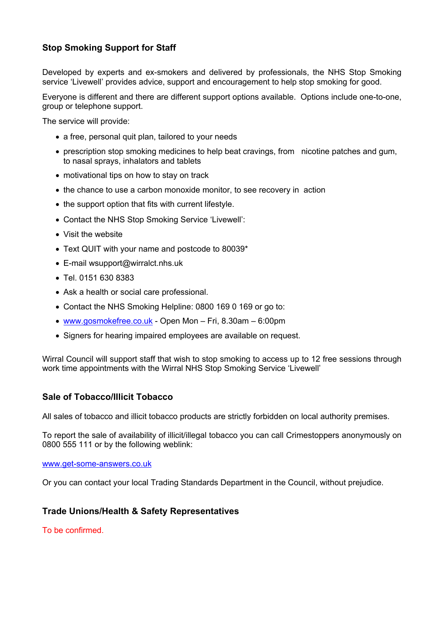# **Stop Smoking Support for Staff**

Developed by experts and ex-smokers and delivered by professionals, the NHS Stop Smoking service 'Livewell' provides advice, support and encouragement to help stop smoking for good.

Everyone is different and there are different support options available. Options include one-to-one, group or telephone support.

The service will provide:

- a free, personal quit plan, tailored to your needs
- prescription stop smoking medicines to help beat cravings, from nicotine patches and gum, to nasal sprays, inhalators and tablets
- motivational tips on how to stay on track
- the chance to use a carbon monoxide monitor, to see recovery in action
- $\bullet$  the support option that fits with current lifestyle.
- Contact the NHS Stop Smoking Service 'Livewell':
- [Visit](http://www.wirralct.nhs.uk/index.php/our-services/services/stop-smoking-service) th[e](http://www.wirralct.nhs.uk/index.php/our-services/services/stop-smoking-service) [website](http://www.wirralct.nhs.uk/index.php/our-services/services/stop-smoking-service)
- Text QUIT with your name and postcode to 80039\*
- E-mail [wsupport@wirralct.nhs.uk](mailto:wsupport@wirralct.nhs.uk)
- Tel. 0151 630 8383
- Ask a health or social care professional.
- Contact the NHS Smoking Helpline: 0800 169 0 169 or go to:
- [www.gosmokefree.co.uk](http://www.gosmokefree.co.uk/) Open Mon Fri, 8.30am 6:00pm
- Signers for hearing impaired employees are available on request.

Wirral Council will support staff that wish to stop smoking to access up to 12 free sessions through work time appointments with the Wirral NHS Stop Smoking Service 'Livewell'

### **Sale of Tobacco/Illicit Tobacco**

All sales of tobacco and illicit tobacco products are strictly forbidden on local authority premises.

To report the sale of availability of illicit/illegal tobacco you can call Crimestoppers anonymously on 0800 555 111 or by the following weblink:

#### [www.get-some-answers.co.uk](http://www.get-some-answers.co.uk/)

Or you can contact your local Trading Standards Department in the Council, without prejudice.

#### **Trade Unions/Health & Safety Representatives**

To be confirmed.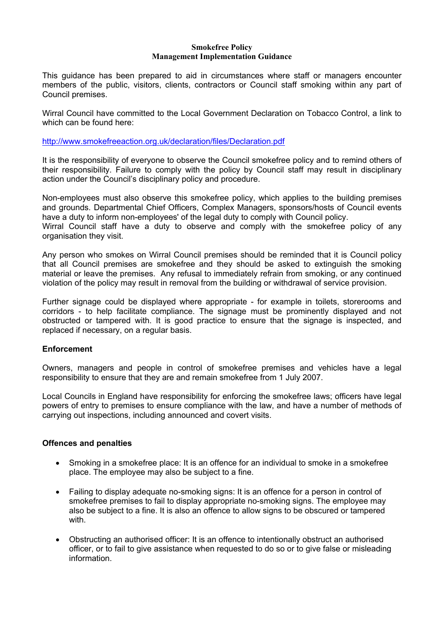#### **Smokefree Policy Management Implementation Guidance**

This guidance has been prepared to aid in circumstances where staff or managers encounter members of the public, visitors, clients, contractors or Council staff smoking within any part of Council premises.

Wirral Council have committed to the Local Government Declaration on Tobacco Control, a link to which can be found here:

<http://www.smokefreeaction.org.uk/declaration/files/Declaration.pdf>

It is the responsibility of everyone to observe the Council smokefree policy and to remind others of their responsibility. Failure to comply with the policy by Council staff may result in disciplinary action under the Council's disciplinary policy and procedure.

Non-employees must also observe this smokefree policy, which applies to the building premises and grounds. Departmental Chief Officers, Complex Managers, sponsors/hosts of Council events have a duty to inform non-employees' of the legal duty to comply with Council policy.

Wirral Council staff have a duty to observe and comply with the smokefree policy of any organisation they visit.

Any person who smokes on Wirral Council premises should be reminded that it is Council policy that all Council premises are smokefree and they should be asked to extinguish the smoking material or leave the premises. Any refusal to immediately refrain from smoking, or any continued violation of the policy may result in removal from the building or withdrawal of service provision.

Further signage could be displayed where appropriate - for example in toilets, storerooms and corridors - to help facilitate compliance. The signage must be prominently displayed and not obstructed or tampered with. It is good practice to ensure that the signage is inspected, and replaced if necessary, on a regular basis.

#### **Enforcement**

Owners, managers and people in control of smokefree premises and vehicles have a legal responsibility to ensure that they are and remain smokefree from 1 July 2007.

Local Councils in England have responsibility for enforcing the smokefree laws; officers have legal powers of entry to premises to ensure compliance with the law, and have a number of methods of carrying out inspections, including announced and covert visits.

#### **Offences and penalties**

- Smoking in a smokefree place: It is an offence for an individual to smoke in a smokefree place. The employee may also be subject to a fine.
- Failing to display adequate no-smoking signs: It is an offence for a person in control of smokefree premises to fail to display appropriate no-smoking signs. The employee may also be subject to a fine. It is also an offence to allow signs to be obscured or tampered with.
- Obstructing an authorised officer: It is an offence to intentionally obstruct an authorised officer, or to fail to give assistance when requested to do so or to give false or misleading information.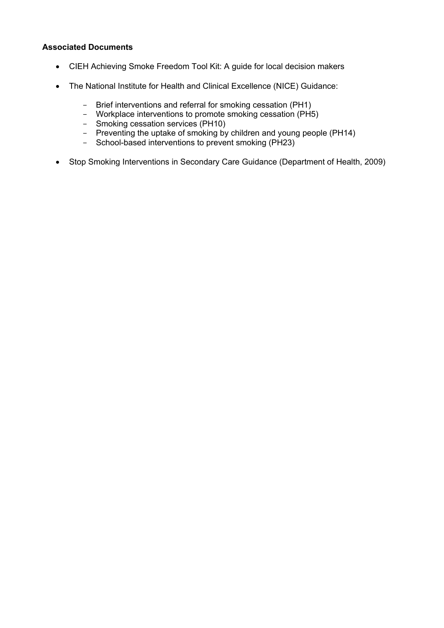#### **Associated Documents**

- CIEH Achieving Smoke Freedom Tool Kit: A guide for local decision makers
- The National Institute for Health and Clinical Excellence (NICE) Guidance:
	- Brief interventions and referral for smoking cessation (PH1)
	- Workplace interventions to promote smoking cessation (PH5)
	- Smoking cessation services (PH10)
	- Preventing the uptake of smoking by children and young people (PH14)
	- School-based interventions to prevent smoking (PH23)
- Stop Smoking Interventions in Secondary Care Guidance (Department of Health, 2009)